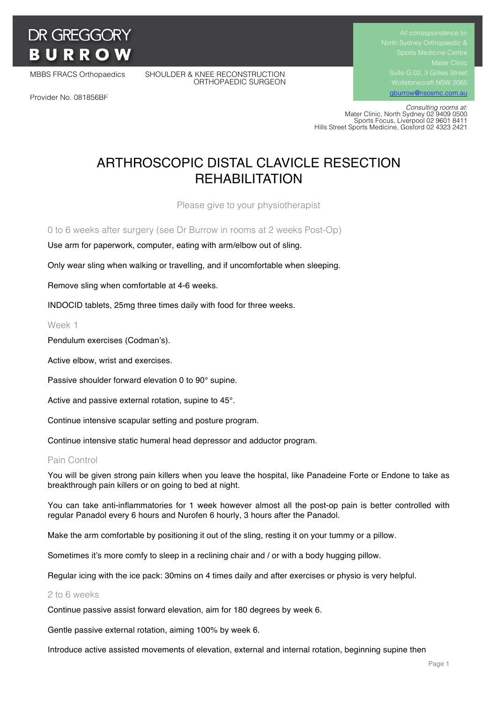# **DR GREGGORY BURROW**

Provider No. 081856BF

MBBS FRACS Orthopaedics SHOULDER & KNEE RECONSTRUCTION ORTHOPAEDIC SURGEON Suite G.02, 3 Gillies Street

gburrow@nsosmc.com.au

 *Consulting rooms at:* Mater Clinic, North Sydney 02 9409 0500 Sports Focus, Liverpool 02 9601 8411 Hills Street Sports Medicine, Gosford 02 4323 2421

# ARTHROSCOPIC DISTAL CLAVICLE RESECTION REHABILITATION

Please give to your physiotherapist

0 to 6 weeks after surgery (see Dr Burrow in rooms at 2 weeks Post-Op)

Use arm for paperwork, computer, eating with arm/elbow out of sling.

Only wear sling when walking or travelling, and if uncomfortable when sleeping.

Remove sling when comfortable at 4-6 weeks.

INDOCID tablets, 25mg three times daily with food for three weeks.

Week 1

Pendulum exercises (Codman's).

Active elbow, wrist and exercises.

Passive shoulder forward elevation 0 to 90° supine.

Active and passive external rotation, supine to 45°.

Continue intensive scapular setting and posture program.

Continue intensive static humeral head depressor and adductor program.

# Pain Control

You will be given strong pain killers when you leave the hospital, like Panadeine Forte or Endone to take as breakthrough pain killers or on going to bed at night.

You can take anti-inflammatories for 1 week however almost all the post-op pain is better controlled with regular Panadol every 6 hours and Nurofen 6 hourly, 3 hours after the Panadol.

Make the arm comfortable by positioning it out of the sling, resting it on your tummy or a pillow.

Sometimes it's more comfy to sleep in a reclining chair and / or with a body hugging pillow.

Regular icing with the ice pack: 30mins on 4 times daily and after exercises or physio is very helpful.

#### 2 to 6 weeks

Continue passive assist forward elevation, aim for 180 degrees by week 6.

Gentle passive external rotation, aiming 100% by week 6.

Introduce active assisted movements of elevation, external and internal rotation, beginning supine then